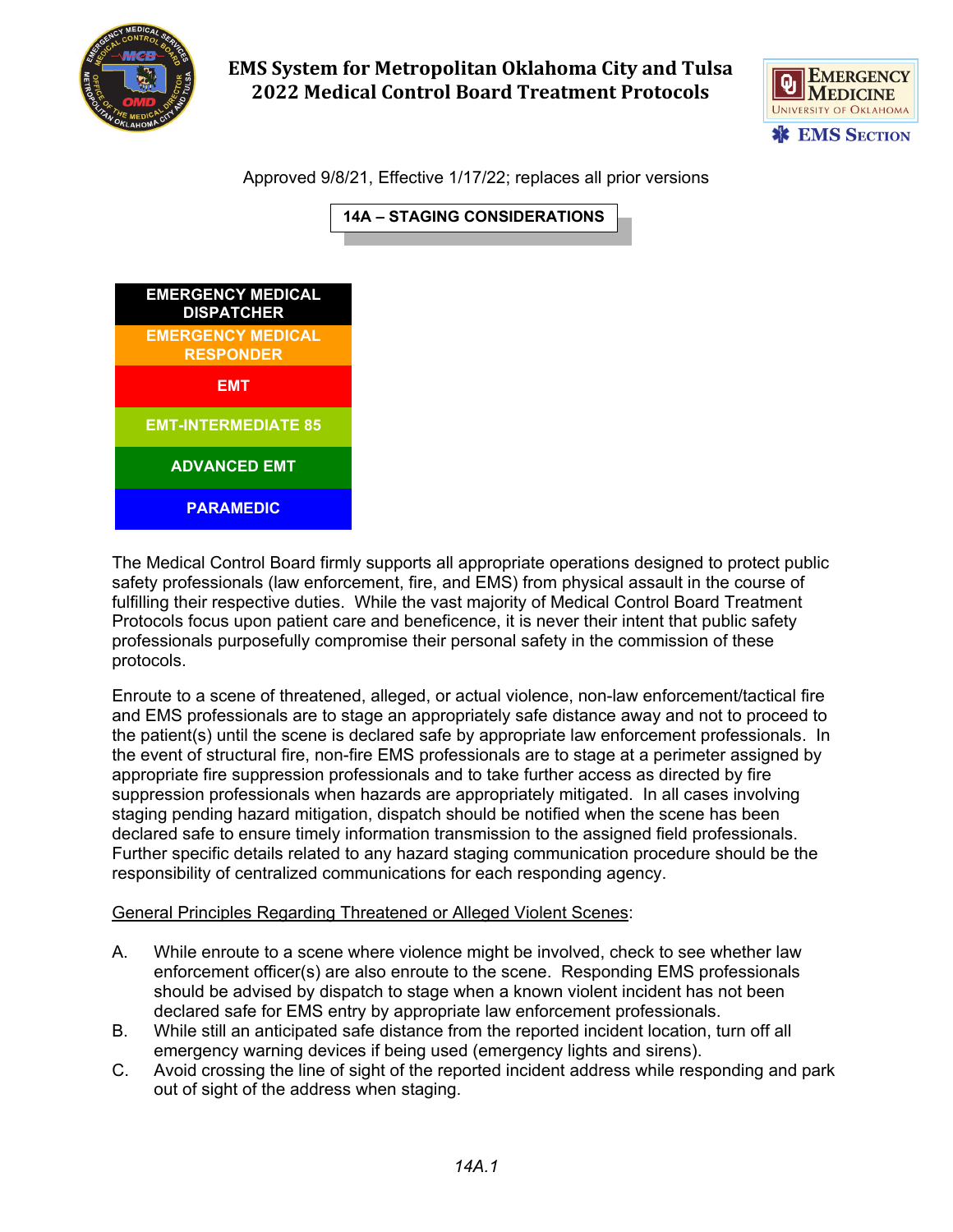

## **EMS System for Metropolitan Oklahoma City and Tulsa 2022 Medical Control Board Treatment Protocols**



Approved 9/8/21, Effective 1/17/22; replaces all prior versions



The Medical Control Board firmly supports all appropriate operations designed to protect public safety professionals (law enforcement, fire, and EMS) from physical assault in the course of fulfilling their respective duties. While the vast majority of Medical Control Board Treatment Protocols focus upon patient care and beneficence, it is never their intent that public safety professionals purposefully compromise their personal safety in the commission of these protocols.

Enroute to a scene of threatened, alleged, or actual violence, non-law enforcement/tactical fire and EMS professionals are to stage an appropriately safe distance away and not to proceed to the patient(s) until the scene is declared safe by appropriate law enforcement professionals. In the event of structural fire, non-fire EMS professionals are to stage at a perimeter assigned by appropriate fire suppression professionals and to take further access as directed by fire suppression professionals when hazards are appropriately mitigated. In all cases involving staging pending hazard mitigation, dispatch should be notified when the scene has been declared safe to ensure timely information transmission to the assigned field professionals. Further specific details related to any hazard staging communication procedure should be the responsibility of centralized communications for each responding agency.

## General Principles Regarding Threatened or Alleged Violent Scenes:

- A. While enroute to a scene where violence might be involved, check to see whether law enforcement officer(s) are also enroute to the scene. Responding EMS professionals should be advised by dispatch to stage when a known violent incident has not been declared safe for EMS entry by appropriate law enforcement professionals.
- B. While still an anticipated safe distance from the reported incident location, turn off all emergency warning devices if being used (emergency lights and sirens).
- C. Avoid crossing the line of sight of the reported incident address while responding and park out of sight of the address when staging.